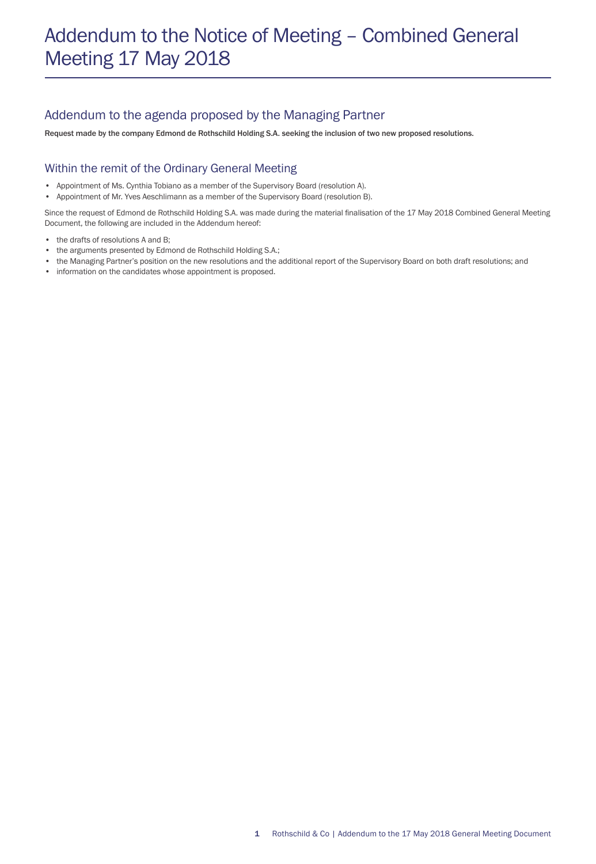# Addendum to the Notice of Meeting – Combined General Meeting 17 May 2018

### Addendum to the agenda proposed by the Managing Partner

Request made by the company Edmond de Rothschild Holding S.A. seeking the inclusion of two new proposed resolutions.

#### Within the remit of the Ordinary General Meeting

- Appointment of Ms. Cynthia Tobiano as a member of the Supervisory Board (resolution A).
- Appointment of Mr. Yves Aeschlimann as a member of the Supervisory Board (resolution B).

Since the request of Edmond de Rothschild Holding S.A. was made during the material finalisation of the 17 May 2018 Combined General Meeting Document, the following are included in the Addendum hereof:

- the drafts of resolutions A and B:
- the arguments presented by Edmond de Rothschild Holding S.A.;
- the Managing Partner's position on the new resolutions and the additional report of the Supervisory Board on both draft resolutions; and
- information on the candidates whose appointment is proposed.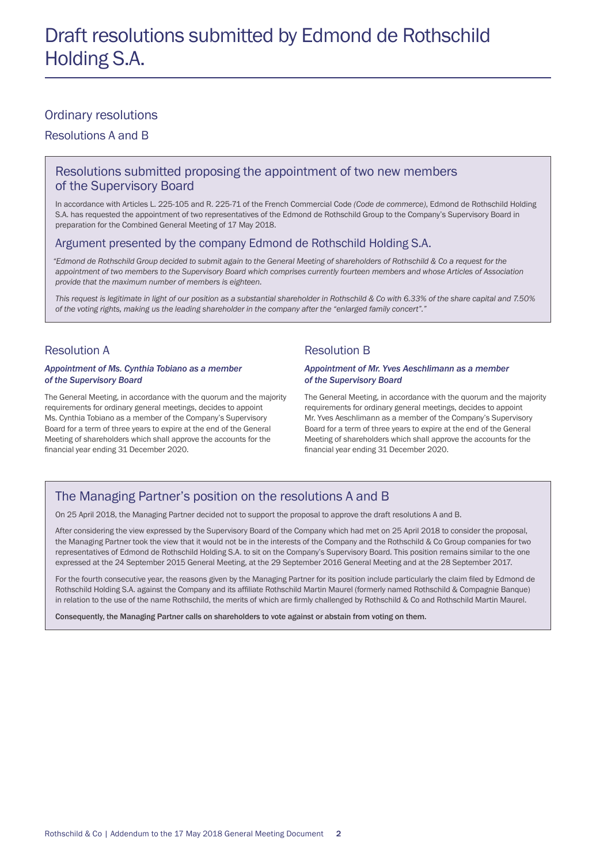#### Ordinary resolutions

Resolutions A and B

#### Resolutions submitted proposing the appointment of two new members of the Supervisory Board

In accordance with Articles L. 225-105 and R. 225-71 of the French Commercial Code *(Code de commerce)*, Edmond de Rothschild Holding S.A. has requested the appointment of two representatives of the Edmond de Rothschild Group to the Company's Supervisory Board in preparation for the Combined General Meeting of 17 May 2018.

#### Argument presented by the company Edmond de Rothschild Holding S.A.

 *"Edmond de Rothschild Group decided to submit again to the General Meeting of shareholders of Rothschild & Co a request for the appointment of two members to the Supervisory Board which comprises currently fourteen members and whose Articles of Association provide that the maximum number of members is eighteen.* 

*This request is legitimate in light of our position as a substantial shareholder in Rothschild & Co with 6.33% of the share capital and 7.50% of the voting rights, making us the leading shareholder in the company after the "enlarged family concert"."*

#### Resolution A

#### *Appointment of Ms. Cynthia Tobiano as a member of the Supervisory Board*

The General Meeting, in accordance with the quorum and the majority requirements for ordinary general meetings, decides to appoint Ms. Cynthia Tobiano as a member of the Company's Supervisory Board for a term of three years to expire at the end of the General Meeting of shareholders which shall approve the accounts for the financial year ending 31 December 2020.

#### Resolution B

#### *Appointment of Mr. Yves Aeschlimann as a member of the Supervisory Board*

The General Meeting, in accordance with the quorum and the majority requirements for ordinary general meetings, decides to appoint Mr. Yves Aeschlimann as a member of the Company's Supervisory Board for a term of three years to expire at the end of the General Meeting of shareholders which shall approve the accounts for the financial year ending 31 December 2020.

### The Managing Partner's position on the resolutions A and B

On 25 April 2018, the Managing Partner decided not to support the proposal to approve the draft resolutions A and B.

After considering the view expressed by the Supervisory Board of the Company which had met on 25 April 2018 to consider the proposal, the Managing Partner took the view that it would not be in the interests of the Company and the Rothschild & Co Group companies for two representatives of Edmond de Rothschild Holding S.A. to sit on the Company's Supervisory Board. This position remains similar to the one expressed at the 24 September 2015 General Meeting, at the 29 September 2016 General Meeting and at the 28 September 2017.

For the fourth consecutive year, the reasons given by the Managing Partner for its position include particularly the claim filed by Edmond de Rothschild Holding S.A. against the Company and its affiliate Rothschild Martin Maurel (formerly named Rothschild & Compagnie Banque) in relation to the use of the name Rothschild, the merits of which are firmly challenged by Rothschild & Co and Rothschild Martin Maurel.

Consequently, the Managing Partner calls on shareholders to vote against or abstain from voting on them.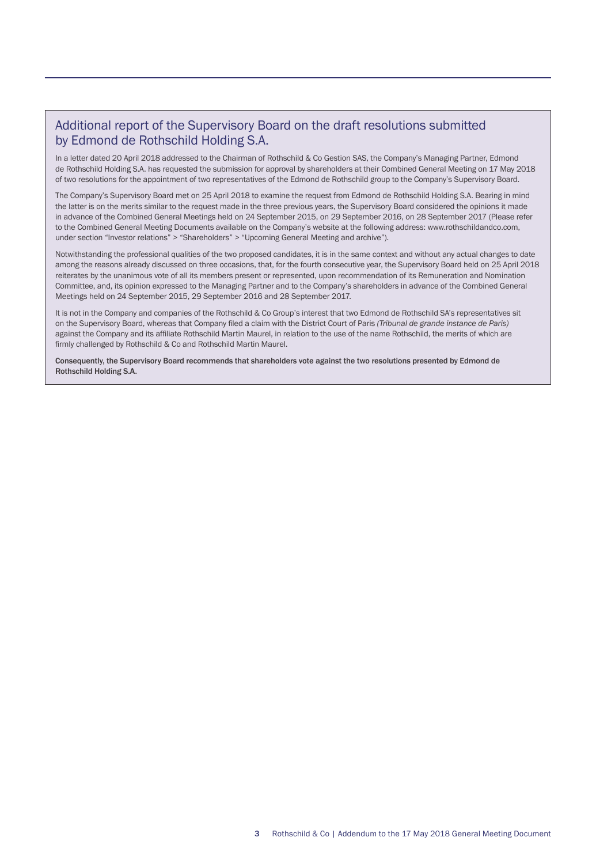### Additional report of the Supervisory Board on the draft resolutions submitted by Edmond de Rothschild Holding S.A.

In a letter dated 20 April 2018 addressed to the Chairman of Rothschild & Co Gestion SAS, the Company's Managing Partner, Edmond de Rothschild Holding S.A. has requested the submission for approval by shareholders at their Combined General Meeting on 17 May 2018 of two resolutions for the appointment of two representatives of the Edmond de Rothschild group to the Company's Supervisory Board.

The Company's Supervisory Board met on 25 April 2018 to examine the request from Edmond de Rothschild Holding S.A. Bearing in mind the latter is on the merits similar to the request made in the three previous years, the Supervisory Board considered the opinions it made in advance of the Combined General Meetings held on 24 September 2015, on 29 September 2016, on 28 September 2017 (Please refer to the Combined General Meeting Documents available on the Company's website at the following address: www.rothschildandco.com, under section "Investor relations" > "Shareholders" > "Upcoming General Meeting and archive").

Notwithstanding the professional qualities of the two proposed candidates, it is in the same context and without any actual changes to date among the reasons already discussed on three occasions, that, for the fourth consecutive year, the Supervisory Board held on 25 April 2018 reiterates by the unanimous vote of all its members present or represented, upon recommendation of its Remuneration and Nomination Committee, and, its opinion expressed to the Managing Partner and to the Company's shareholders in advance of the Combined General Meetings held on 24 September 2015, 29 September 2016 and 28 September 2017.

It is not in the Company and companies of the Rothschild & Co Group's interest that two Edmond de Rothschild SA's representatives sit on the Supervisory Board, whereas that Company filed a claim with the District Court of Paris *(Tribunal de grande instance de Paris)* against the Company and its affiliate Rothschild Martin Maurel, in relation to the use of the name Rothschild, the merits of which are firmly challenged by Rothschild & Co and Rothschild Martin Maurel.

Consequently, the Supervisory Board recommends that shareholders vote against the two resolutions presented by Edmond de Rothschild Holding S.A.